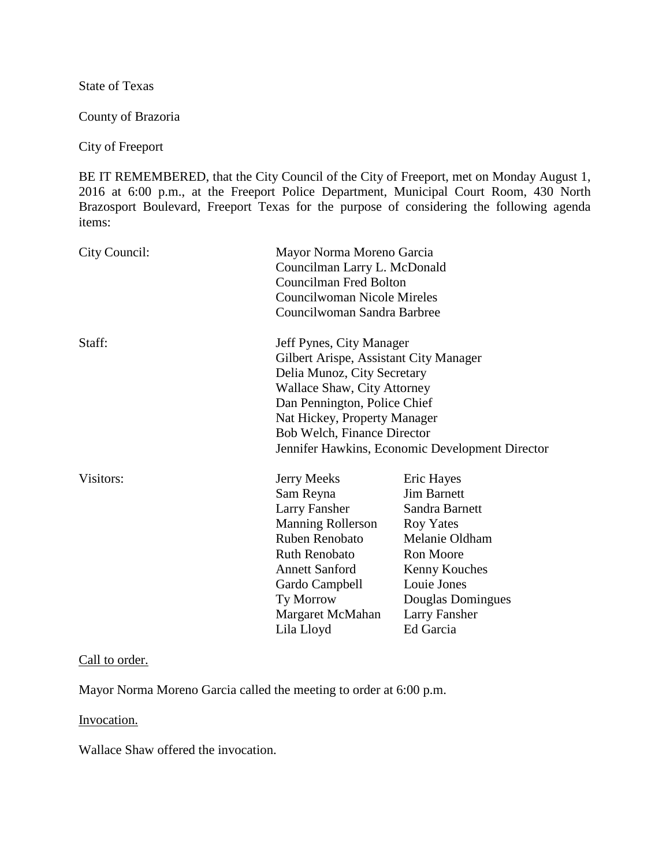State of Texas

County of Brazoria

City of Freeport

BE IT REMEMBERED, that the City Council of the City of Freeport, met on Monday August 1, 2016 at 6:00 p.m., at the Freeport Police Department, Municipal Court Room, 430 North Brazosport Boulevard, Freeport Texas for the purpose of considering the following agenda items:

| City Council: | Mayor Norma Moreno Garcia<br>Councilman Larry L. McDonald<br>Councilman Fred Bolton<br>Councilwoman Nicole Mireles<br>Councilwoman Sandra Barbree |                    |
|---------------|---------------------------------------------------------------------------------------------------------------------------------------------------|--------------------|
| Staff:        | Jeff Pynes, City Manager<br>Gilbert Arispe, Assistant City Manager                                                                                |                    |
|               | Delia Munoz, City Secretary                                                                                                                       |                    |
|               | <b>Wallace Shaw, City Attorney</b>                                                                                                                |                    |
|               | Dan Pennington, Police Chief                                                                                                                      |                    |
|               | Nat Hickey, Property Manager                                                                                                                      |                    |
|               | Bob Welch, Finance Director                                                                                                                       |                    |
|               | Jennifer Hawkins, Economic Development Director                                                                                                   |                    |
| Visitors:     | <b>Jerry Meeks</b>                                                                                                                                | Eric Hayes         |
|               | Sam Reyna                                                                                                                                         | <b>Jim Barnett</b> |
|               | Larry Fansher                                                                                                                                     | Sandra Barnett     |
|               | <b>Manning Rollerson</b>                                                                                                                          | <b>Roy Yates</b>   |
|               | Ruben Renobato                                                                                                                                    | Melanie Oldham     |
|               | <b>Ruth Renobato</b>                                                                                                                              | <b>Ron Moore</b>   |
|               | <b>Annett Sanford</b>                                                                                                                             | Kenny Kouches      |
|               | Gardo Campbell                                                                                                                                    | Louie Jones        |
|               | Ty Morrow                                                                                                                                         | Douglas Domingues  |
|               | Margaret McMahan                                                                                                                                  | Larry Fansher      |
|               | Lila Lloyd                                                                                                                                        | Ed Garcia          |

#### Call to order.

Mayor Norma Moreno Garcia called the meeting to order at 6:00 p.m.

Invocation.

Wallace Shaw offered the invocation.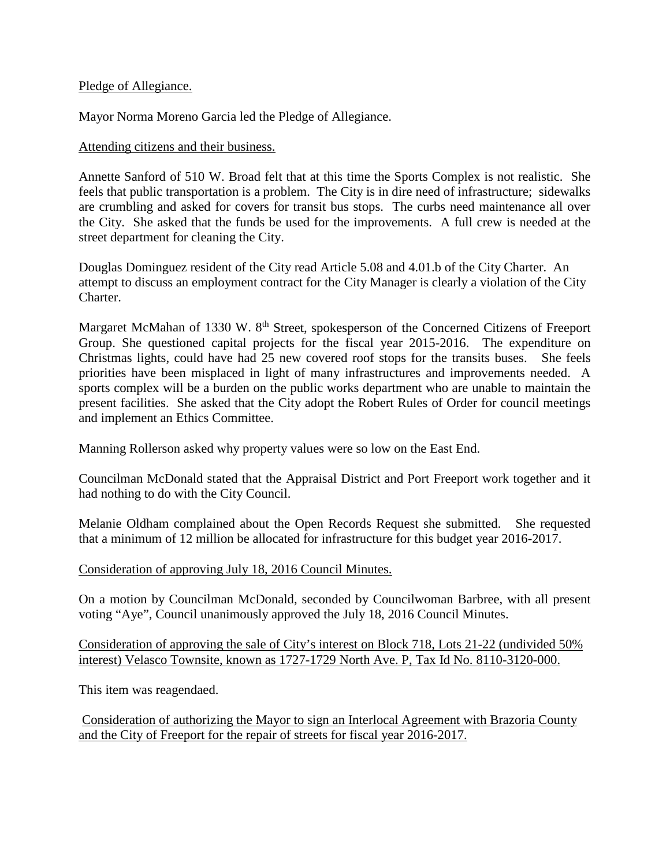#### Pledge of Allegiance.

Mayor Norma Moreno Garcia led the Pledge of Allegiance.

## Attending citizens and their business.

Annette Sanford of 510 W. Broad felt that at this time the Sports Complex is not realistic. She feels that public transportation is a problem. The City is in dire need of infrastructure; sidewalks are crumbling and asked for covers for transit bus stops. The curbs need maintenance all over the City. She asked that the funds be used for the improvements. A full crew is needed at the street department for cleaning the City.

Douglas Dominguez resident of the City read Article 5.08 and 4.01.b of the City Charter. An attempt to discuss an employment contract for the City Manager is clearly a violation of the City Charter.

Margaret McMahan of 1330 W. 8<sup>th</sup> Street, spokesperson of the Concerned Citizens of Freeport Group. She questioned capital projects for the fiscal year 2015-2016. The expenditure on Christmas lights, could have had 25 new covered roof stops for the transits buses. She feels priorities have been misplaced in light of many infrastructures and improvements needed. A sports complex will be a burden on the public works department who are unable to maintain the present facilities. She asked that the City adopt the Robert Rules of Order for council meetings and implement an Ethics Committee.

Manning Rollerson asked why property values were so low on the East End.

Councilman McDonald stated that the Appraisal District and Port Freeport work together and it had nothing to do with the City Council.

Melanie Oldham complained about the Open Records Request she submitted. She requested that a minimum of 12 million be allocated for infrastructure for this budget year 2016-2017.

Consideration of approving July 18, 2016 Council Minutes.

On a motion by Councilman McDonald, seconded by Councilwoman Barbree, with all present voting "Aye", Council unanimously approved the July 18, 2016 Council Minutes.

Consideration of approving the sale of City's interest on Block 718, Lots 21-22 (undivided 50% interest) Velasco Townsite, known as 1727-1729 North Ave. P, Tax Id No. 8110-3120-000.

This item was reagendaed.

Consideration of authorizing the Mayor to sign an Interlocal Agreement with Brazoria County and the City of Freeport for the repair of streets for fiscal year 2016-2017.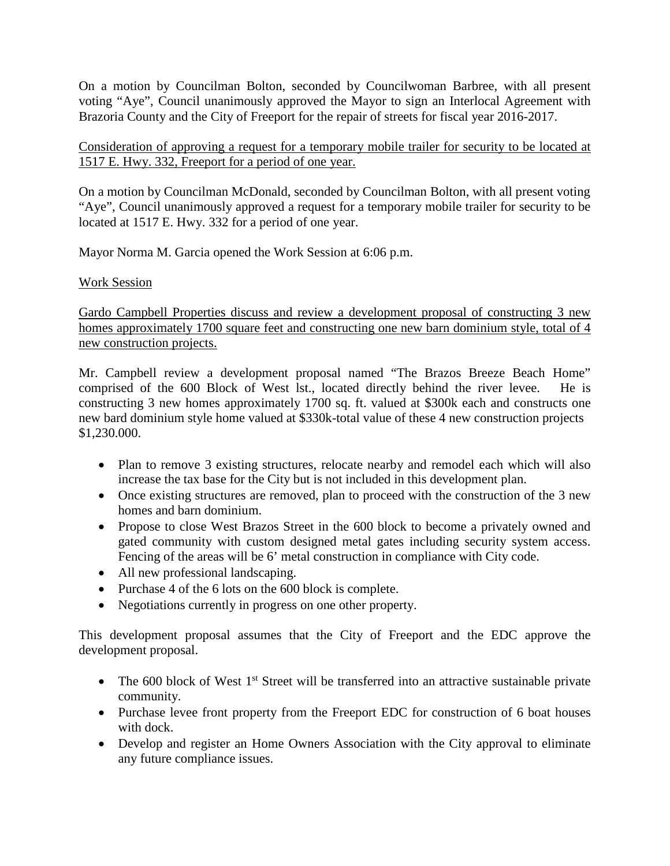On a motion by Councilman Bolton, seconded by Councilwoman Barbree, with all present voting "Aye", Council unanimously approved the Mayor to sign an Interlocal Agreement with Brazoria County and the City of Freeport for the repair of streets for fiscal year 2016-2017.

Consideration of approving a request for a temporary mobile trailer for security to be located at 1517 E. Hwy. 332, Freeport for a period of one year.

On a motion by Councilman McDonald, seconded by Councilman Bolton, with all present voting "Aye", Council unanimously approved a request for a temporary mobile trailer for security to be located at 1517 E. Hwy. 332 for a period of one year.

Mayor Norma M. Garcia opened the Work Session at 6:06 p.m.

## Work Session

Gardo Campbell Properties discuss and review a development proposal of constructing 3 new homes approximately 1700 square feet and constructing one new barn dominium style, total of 4 new construction projects.

Mr. Campbell review a development proposal named "The Brazos Breeze Beach Home" comprised of the 600 Block of West 1st., located directly behind the river levee. He is constructing 3 new homes approximately 1700 sq. ft. valued at \$300k each and constructs one new bard dominium style home valued at \$330k-total value of these 4 new construction projects \$1,230.000.

- Plan to remove 3 existing structures, relocate nearby and remodel each which will also increase the tax base for the City but is not included in this development plan.
- Once existing structures are removed, plan to proceed with the construction of the 3 new homes and barn dominium.
- Propose to close West Brazos Street in the 600 block to become a privately owned and gated community with custom designed metal gates including security system access. Fencing of the areas will be 6' metal construction in compliance with City code.
- All new professional landscaping.
- Purchase 4 of the 6 lots on the 600 block is complete.
- Negotiations currently in progress on one other property.

This development proposal assumes that the City of Freeport and the EDC approve the development proposal.

- The 600 block of West  $1<sup>st</sup>$  Street will be transferred into an attractive sustainable private community.
- Purchase levee front property from the Freeport EDC for construction of 6 boat houses with dock.
- Develop and register an Home Owners Association with the City approval to eliminate any future compliance issues.